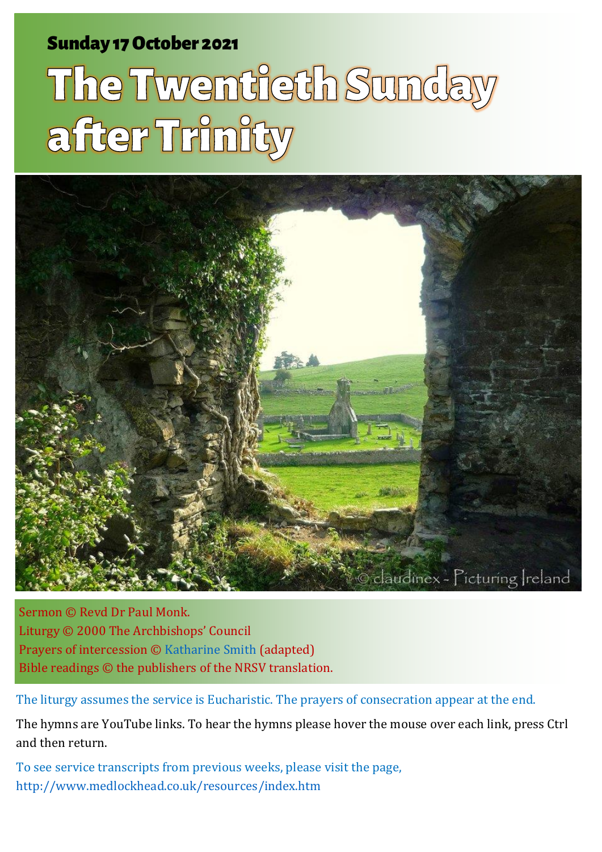#### Sunday 17 October 2021 1 The Twentieth Sunday 17 October 2021 1 The Twentieth Sunday after Trinity and Trinity

# The Twentieth Sunday after Trinity



Sermon © Revd Dr Paul Monk. Liturgy © 2000 The Archbishops' Council Prayers of intercession © [Katharine Smith](https://www.katharinesmith.org.uk/common-worship-lectionary/year-b-ordinary-time-2/sermon-and-intercessions-for-proper-24-year-b-20th-sunday-after-trinity/) (adapted) Bible readings © the publishers of the NRSV translation.

The liturgy assumes the service is Eucharistic. The prayers of consecration appear at the end.

The hymns are YouTube links. To hear the hymns please hover the mouse over each link, press Ctrl and then return.

To see service transcripts from previous weeks, please visit the page, <http://www.medlockhead.co.uk/resources/index.htm>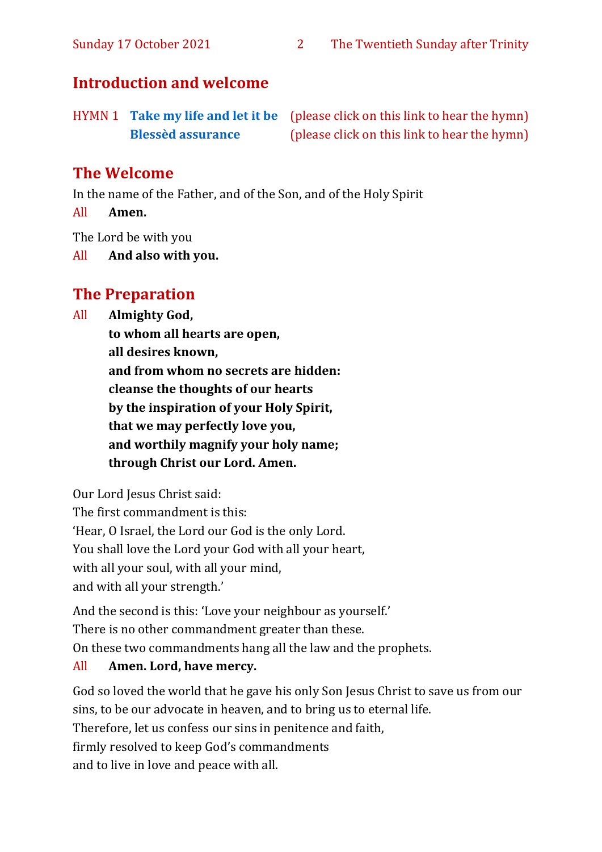#### **Introduction and welcome**

|                          | HYMN 1 Take my life and let it be (please click on this link to hear the hymn) |
|--------------------------|--------------------------------------------------------------------------------|
| <b>Blessèd assurance</b> | (please click on this link to hear the hymn)                                   |

#### **The Welcome**

In the name of the Father, and of the Son, and of the Holy Spirit

All **Amen.**

The Lord be with you

All **And also with you.**

#### **The Preparation**

All **Almighty God,**

**to whom all hearts are open, all desires known, and from whom no secrets are hidden: cleanse the thoughts of our hearts by the inspiration of your Holy Spirit, that we may perfectly love you, and worthily magnify your holy name; through Christ our Lord. Amen.**

Our Lord Jesus Christ said: The first commandment is this: 'Hear, O Israel, the Lord our God is the only Lord. You shall love the Lord your God with all your heart, with all your soul, with all your mind, and with all your strength.'

And the second is this: 'Love your neighbour as yourself.' There is no other commandment greater than these. On these two commandments hang all the law and the prophets.

#### All **Amen. Lord, have mercy.**

God so loved the world that he gave his only Son Jesus Christ to save us from our sins, to be our advocate in heaven, and to bring us to eternal life. Therefore, let us confess our sins in penitence and faith, firmly resolved to keep God's commandments and to live in love and peace with all.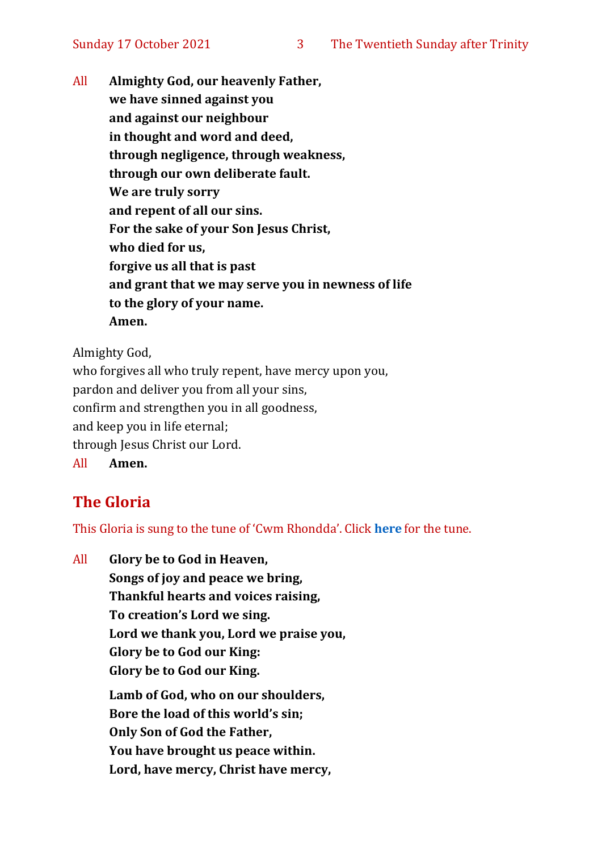All **Almighty God, our heavenly Father, we have sinned against you and against our neighbour in thought and word and deed, through negligence, through weakness, through our own deliberate fault. We are truly sorry and repent of all our sins. For the sake of your Son Jesus Christ, who died for us, forgive us all that is past and grant that we may serve you in newness of life to the glory of your name. Amen.**

Almighty God,

who forgives all who truly repent, have mercy upon you, pardon and deliver you from all your sins, confirm and strengthen you in all goodness, and keep you in life eternal; through Jesus Christ our Lord. All **Amen.**

#### **The Gloria**

This Gloria is sung to the tune of 'Cwm Rhondda'. Click **[here](about:blank)** for the tune.

All **Glory be to God in Heaven, Songs of joy and peace we bring, Thankful hearts and voices raising, To creation's Lord we sing. Lord we thank you, Lord we praise you, Glory be to God our King: Glory be to God our King. Lamb of God, who on our shoulders, Bore the load of this world's sin; Only Son of God the Father, You have brought us peace within. Lord, have mercy, Christ have mercy,**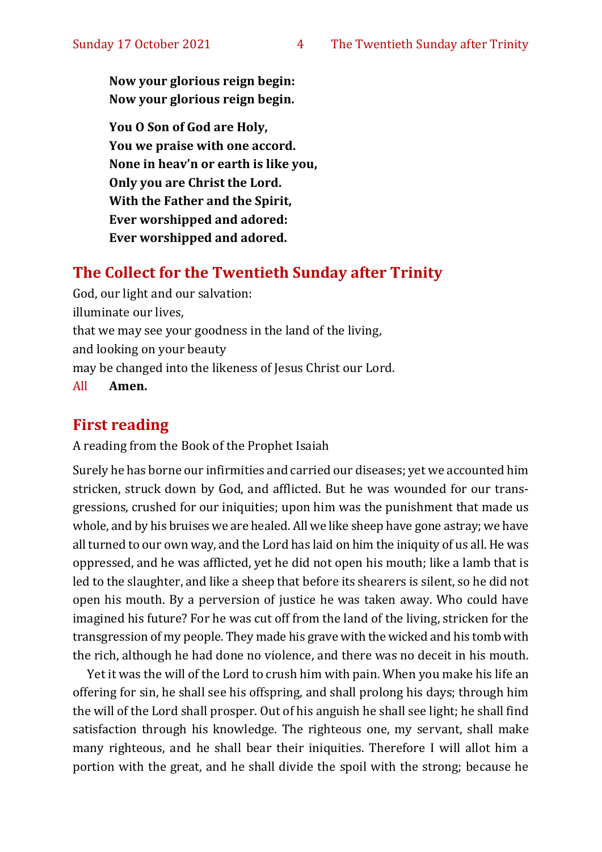**Now your glorious reign begin: Now your glorious reign begin.**

**You O Son of God are Holy, You we praise with one accord. None in heav'n or earth is like you, Only you are Christ the Lord. With the Father and the Spirit, Ever worshipped and adored: Ever worshipped and adored.**

#### **The Collect for the Twentieth Sunday after Trinity**

God, our light and our salvation: illuminate our lives, that we may see your goodness in the land of the living, and looking on your beauty may be changed into the likeness of Jesus Christ our Lord. All **Amen.**

#### **First reading**

A reading from the Book of the Prophet Isaiah

Surely he has borne our infirmities and carried our diseases; yet we accounted him stricken, struck down by God, and afflicted. But he was wounded for our transgressions, crushed for our iniquities; upon him was the punishment that made us whole, and by his bruises we are healed. All we like sheep have gone astray; we have all turned to our own way, and the Lord has laid on him the iniquity of us all. He was oppressed, and he was afflicted, yet he did not open his mouth; like a lamb that is led to the slaughter, and like a sheep that before its shearers is silent, so he did not open his mouth. By a perversion of justice he was taken away. Who could have imagined his future? For he was cut off from the land of the living, stricken for the transgression of my people. They made his grave with the wicked and his tomb with the rich, although he had done no violence, and there was no deceit in his mouth.

Yet it was the will of the Lord to crush him with pain. When you make his life an offering for sin, he shall see his offspring, and shall prolong his days; through him the will of the Lord shall prosper. Out of his anguish he shall see light; he shall find satisfaction through his knowledge. The righteous one, my servant, shall make many righteous, and he shall bear their iniquities. Therefore I will allot him a portion with the great, and he shall divide the spoil with the strong; because he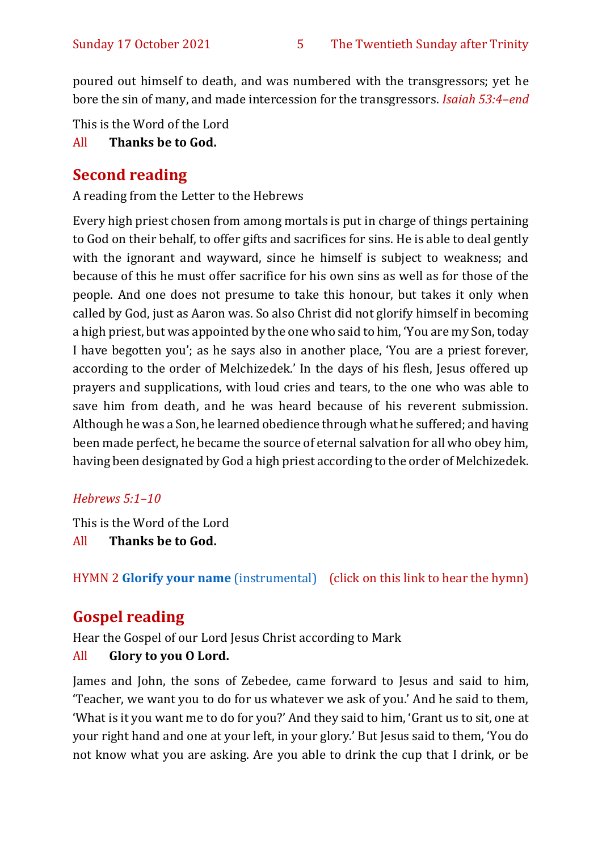poured out himself to death, and was numbered with the transgressors; yet he bore the sin of many, and made intercession for the transgressors. *Isaiah 53:4–end*

This is the Word of the Lord

All **Thanks be to God.**

#### **Second reading**

A reading from the Letter to the Hebrews

Every high priest chosen from among mortals is put in charge of things pertaining to God on their behalf, to offer gifts and sacrifices for sins. He is able to deal gently with the ignorant and wayward, since he himself is subject to weakness; and because of this he must offer sacrifice for his own sins as well as for those of the people. And one does not presume to take this honour, but takes it only when called by God, just as Aaron was. So also Christ did not glorify himself in becoming a high priest, but was appointed by the one who said to him, 'You are my Son, today I have begotten you'; as he says also in another place, 'You are a priest forever, according to the order of Melchizedek.' In the days of his flesh, Jesus offered up prayers and supplications, with loud cries and tears, to the one who was able to save him from death, and he was heard because of his reverent submission. Although he was a Son, he learned obedience through what he suffered; and having been made perfect, he became the source of eternal salvation for all who obey him, having been designated by God a high priest according to the order of Melchizedek.

#### *Hebrews 5:1–10*

This is the Word of the Lord

All **Thanks be to God.**

HYMN 2 **[Glorify your name](https://www.youtube.com/watch?v=nJ-lPtTR1nk)** (instrumental) (click on this link to hear the hymn)

### **Gospel reading**

Hear the Gospel of our Lord Jesus Christ according to Mark

#### All **Glory to you O Lord.**

James and John, the sons of Zebedee, came forward to Jesus and said to him, 'Teacher, we want you to do for us whatever we ask of you.' And he said to them, 'What is it you want me to do for you?' And they said to him, 'Grant us to sit, one at your right hand and one at your left, in your glory.' But Jesus said to them, 'You do not know what you are asking. Are you able to drink the cup that I drink, or be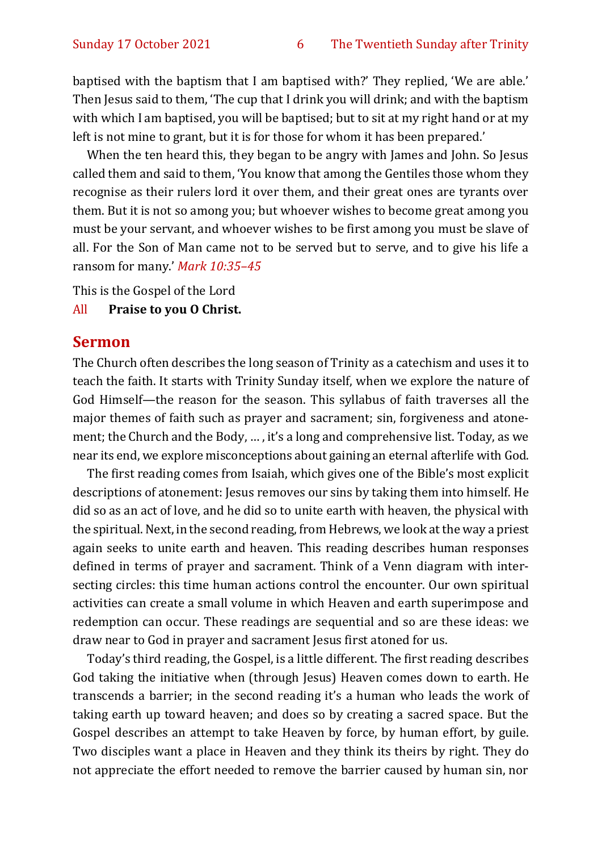baptised with the baptism that I am baptised with?' They replied, 'We are able.' Then Jesus said to them, 'The cup that I drink you will drink; and with the baptism with which I am baptised, you will be baptised; but to sit at my right hand or at my left is not mine to grant, but it is for those for whom it has been prepared.'

When the ten heard this, they began to be angry with James and John. So Jesus called them and said to them, 'You know that among the Gentiles those whom they recognise as their rulers lord it over them, and their great ones are tyrants over them. But it is not so among you; but whoever wishes to become great among you must be your servant, and whoever wishes to be first among you must be slave of all. For the Son of Man came not to be served but to serve, and to give his life a ransom for many.' *Mark 10:35–45*

This is the Gospel of the Lord

#### All **Praise to you O Christ.**

#### **Sermon**

The Church often describes the long season of Trinity as a catechism and uses it to teach the faith. It starts with Trinity Sunday itself, when we explore the nature of God Himself—the reason for the season. This syllabus of faith traverses all the major themes of faith such as prayer and sacrament; sin, forgiveness and atonement; the Church and the Body, … , it's a long and comprehensive list. Today, as we near its end, we explore misconceptions about gaining an eternal afterlife with God.

The first reading comes from Isaiah, which gives one of the Bible's most explicit descriptions of atonement: Jesus removes our sins by taking them into himself. He did so as an act of love, and he did so to unite earth with heaven, the physical with the spiritual. Next, in the second reading, from Hebrews, we look at the way a priest again seeks to unite earth and heaven. This reading describes human responses defined in terms of prayer and sacrament. Think of a Venn diagram with intersecting circles: this time human actions control the encounter. Our own spiritual activities can create a small volume in which Heaven and earth superimpose and redemption can occur. These readings are sequential and so are these ideas: we draw near to God in prayer and sacrament Jesus first atoned for us.

Today's third reading, the Gospel, is a little different. The first reading describes God taking the initiative when (through Jesus) Heaven comes down to earth. He transcends a barrier; in the second reading it's a human who leads the work of taking earth up toward heaven; and does so by creating a sacred space. But the Gospel describes an attempt to take Heaven by force, by human effort, by guile. Two disciples want a place in Heaven and they think its theirs by right. They do not appreciate the effort needed to remove the barrier caused by human sin, nor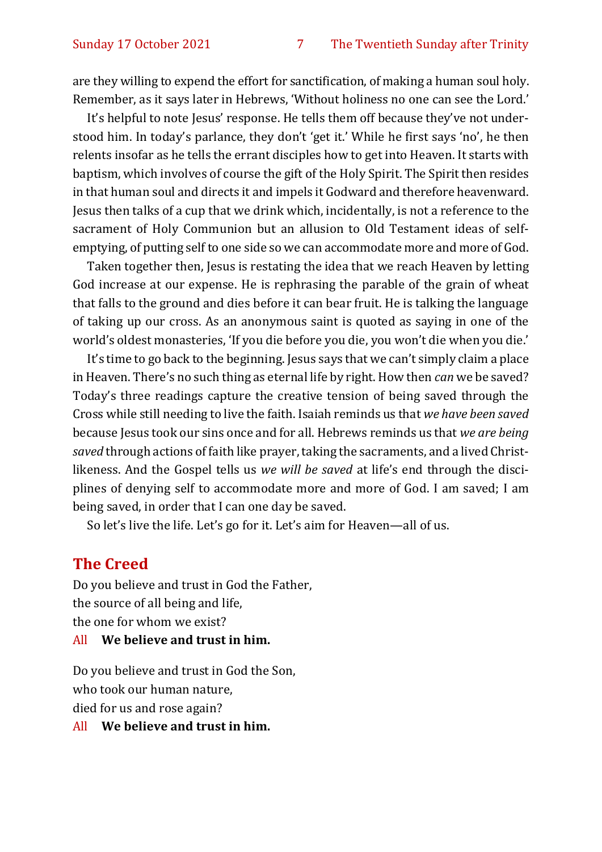are they willing to expend the effort for sanctification, of making a human soul holy. Remember, as it says later in Hebrews, 'Without holiness no one can see the Lord.'

It's helpful to note Jesus' response. He tells them off because they've not understood him. In today's parlance, they don't 'get it.' While he first says 'no', he then relents insofar as he tells the errant disciples how to get into Heaven. It starts with baptism, which involves of course the gift of the Holy Spirit. The Spirit then resides in that human soul and directs it and impels it Godward and therefore heavenward. Jesus then talks of a cup that we drink which, incidentally, is not a reference to the sacrament of Holy Communion but an allusion to Old Testament ideas of selfemptying, of putting self to one side so we can accommodate more and more of God.

Taken together then, Jesus is restating the idea that we reach Heaven by letting God increase at our expense. He is rephrasing the parable of the grain of wheat that falls to the ground and dies before it can bear fruit. He is talking the language of taking up our cross. As an anonymous saint is quoted as saying in one of the world's oldest monasteries, 'If you die before you die, you won't die when you die.'

It's time to go back to the beginning. Jesus says that we can't simply claim a place in Heaven. There's no such thing as eternal life by right. How then *can* we be saved? Today's three readings capture the creative tension of being saved through the Cross while still needing to live the faith. Isaiah reminds us that *we have been saved* because Jesus took our sins once and for all. Hebrews reminds us that *we are being saved* through actions of faith like prayer, taking the sacraments, and a lived Christlikeness. And the Gospel tells us *we will be saved* at life's end through the disciplines of denying self to accommodate more and more of God. I am saved; I am being saved, in order that I can one day be saved.

So let's live the life. Let's go for it. Let's aim for Heaven—all of us.

#### **The Creed**

Do you believe and trust in God the Father, the source of all being and life, the one for whom we exist?

All **We believe and trust in him.**

Do you believe and trust in God the Son, who took our human nature, died for us and rose again?

#### All **We believe and trust in him.**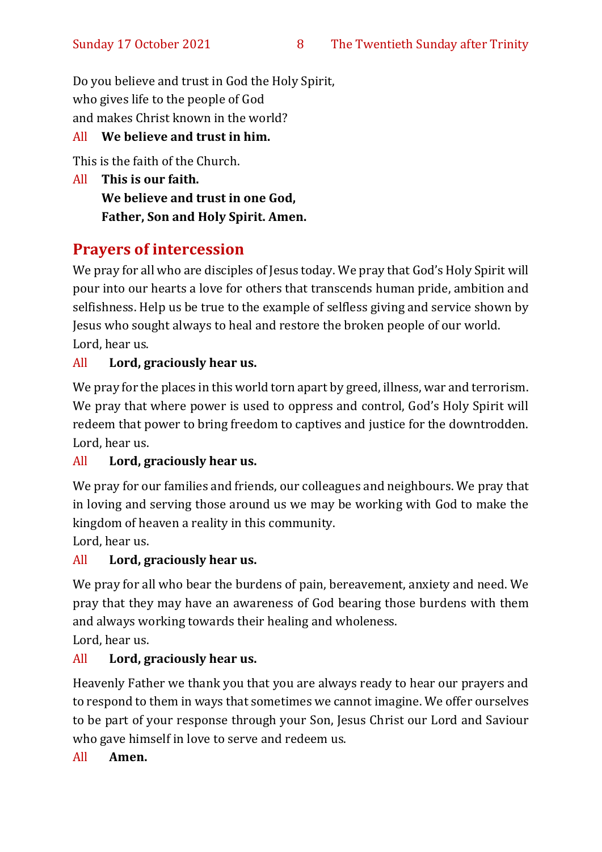Do you believe and trust in God the Holy Spirit, who gives life to the people of God and makes Christ known in the world?

#### All **We believe and trust in him.**

This is the faith of the Church.

All **This is our faith. We believe and trust in one God, Father, Son and Holy Spirit. Amen.**

#### **Prayers of intercession**

We pray for all who are disciples of Jesus today. We pray that God's Holy Spirit will pour into our hearts a love for others that transcends human pride, ambition and selfishness. Help us be true to the example of selfless giving and service shown by Jesus who sought always to heal and restore the broken people of our world. Lord, hear us.

#### All **Lord, graciously hear us.**

We pray for the places in this world torn apart by greed, illness, war and terrorism. We pray that where power is used to oppress and control, God's Holy Spirit will redeem that power to bring freedom to captives and justice for the downtrodden. Lord, hear us.

#### All **Lord, graciously hear us.**

We pray for our families and friends, our colleagues and neighbours. We pray that in loving and serving those around us we may be working with God to make the kingdom of heaven a reality in this community.

Lord, hear us.

#### All **Lord, graciously hear us.**

We pray for all who bear the burdens of pain, bereavement, anxiety and need. We pray that they may have an awareness of God bearing those burdens with them and always working towards their healing and wholeness.

Lord, hear us.

#### All **Lord, graciously hear us.**

Heavenly Father we thank you that you are always ready to hear our prayers and to respond to them in ways that sometimes we cannot imagine. We offer ourselves to be part of your response through your Son, Jesus Christ our Lord and Saviour who gave himself in love to serve and redeem us.

#### All **Amen.**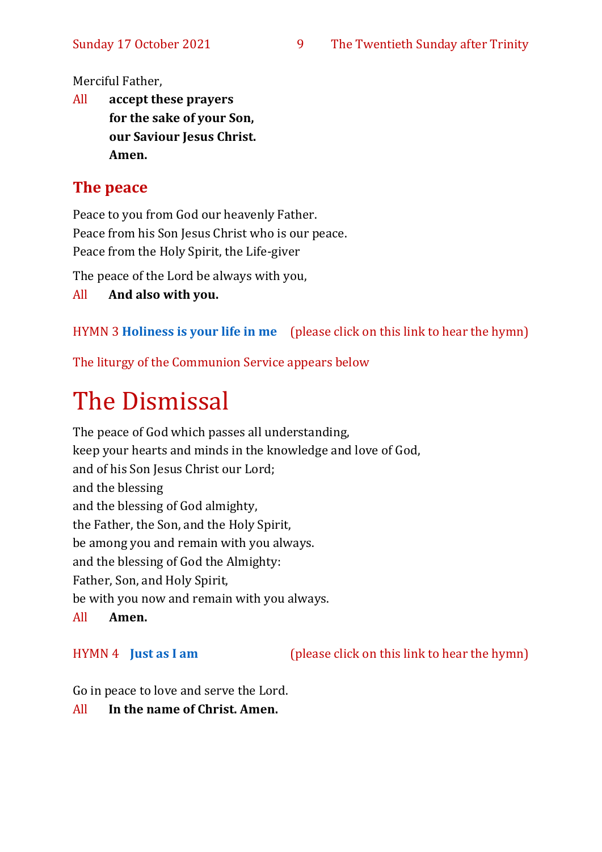Merciful Father,

All **accept these prayers for the sake of your Son, our Saviour Jesus Christ. Amen.**

#### **The peace**

Peace to you from God our heavenly Father. Peace from his Son Jesus Christ who is our peace. Peace from the Holy Spirit, the Life-giver

The peace of the Lord be always with you,

All **And also with you.**

HYMN 3 **[Holiness is your life in me](https://www.youtube.com/watch?v=vJDEgUks4ZI)** (please click on this link to hear the hymn)

The liturgy of the Communion Service appears below

# The Dismissal

The peace of God which passes all understanding, keep your hearts and minds in the knowledge and love of God, and of his Son Jesus Christ our Lord; and the blessing and the blessing of God almighty, the Father, the Son, and the Holy Spirit, be among you and remain with you always. and the blessing of God the Almighty: Father, Son, and Holy Spirit, be with you now and remain with you always. All **Amen.**

HYMN 4 **[Just as I am](https://www.youtube.com/watch?v=6tdmQh-MIIA)** (please click on this link to hear the hymn)

Go in peace to love and serve the Lord.

All **In the name of Christ. Amen.**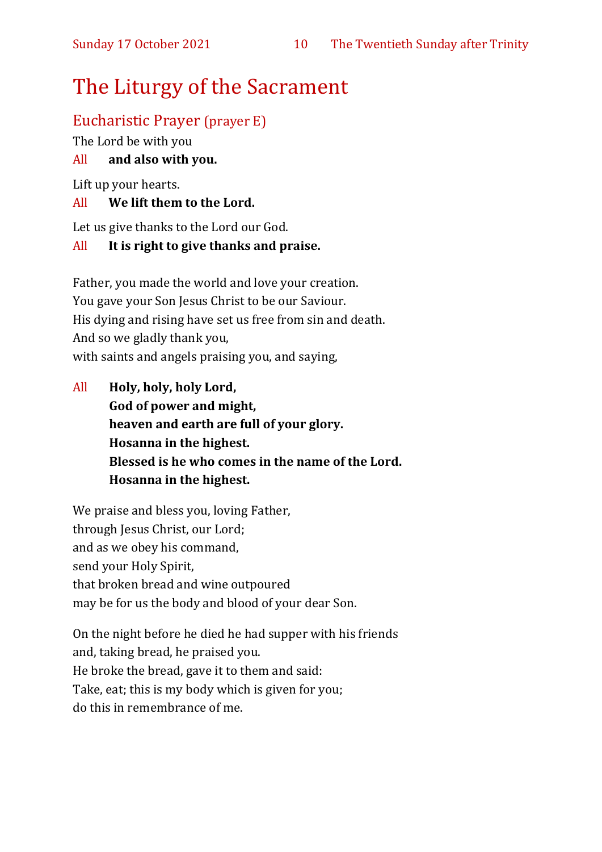## The Liturgy of the Sacrament

#### Eucharistic Prayer (prayer E)

The Lord be with you

#### All **and also with you.**

Lift up your hearts.

#### All **We lift them to the Lord.**

Let us give thanks to the Lord our God.

#### All **It is right to give thanks and praise.**

Father, you made the world and love your creation. You gave your Son Jesus Christ to be our Saviour. His dying and rising have set us free from sin and death. And so we gladly thank you, with saints and angels praising you, and saying,

All **Holy, holy, holy Lord, God of power and might, heaven and earth are full of your glory. Hosanna in the highest. Blessed is he who comes in the name of the Lord. Hosanna in the highest.**

We praise and bless you, loving Father, through Jesus Christ, our Lord; and as we obey his command, send your Holy Spirit, that broken bread and wine outpoured may be for us the body and blood of your dear Son.

On the night before he died he had supper with his friends and, taking bread, he praised you. He broke the bread, gave it to them and said: Take, eat; this is my body which is given for you; do this in remembrance of me.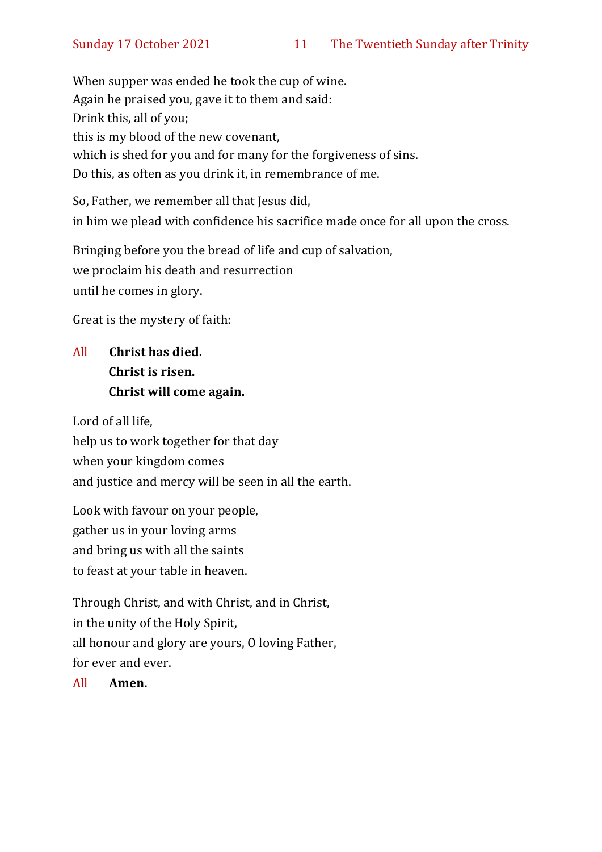When supper was ended he took the cup of wine. Again he praised you, gave it to them and said: Drink this, all of you; this is my blood of the new covenant, which is shed for you and for many for the forgiveness of sins. Do this, as often as you drink it, in remembrance of me.

So, Father, we remember all that Jesus did, in him we plead with confidence his sacrifice made once for all upon the cross.

Bringing before you the bread of life and cup of salvation, we proclaim his death and resurrection until he comes in glory.

Great is the mystery of faith:

#### All **Christ has died. Christ is risen. Christ will come again.**

Lord of all life, help us to work together for that day when your kingdom comes and justice and mercy will be seen in all the earth.

Look with favour on your people, gather us in your loving arms and bring us with all the saints to feast at your table in heaven.

Through Christ, and with Christ, and in Christ, in the unity of the Holy Spirit, all honour and glory are yours, O loving Father, for ever and ever.

All **Amen.**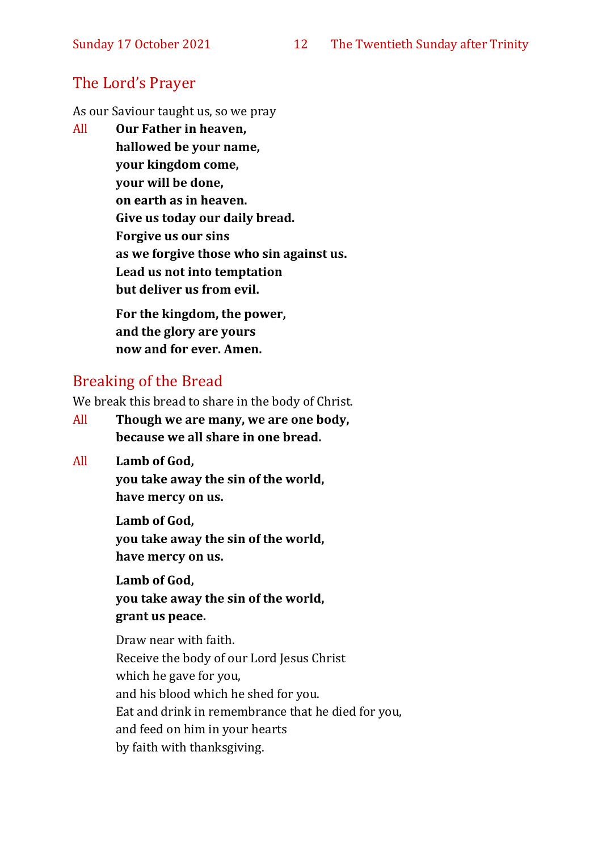#### The Lord's Prayer

As our Saviour taught us, so we pray

All **Our Father in heaven, hallowed be your name, your kingdom come, your will be done, on earth as in heaven. Give us today our daily bread. Forgive us our sins as we forgive those who sin against us. Lead us not into temptation but deliver us from evil. For the kingdom, the power,** 

**and the glory are yours now and for ever. Amen.**

#### Breaking of the Bread

We break this bread to share in the body of Christ.

- All **Though we are many, we are one body, because we all share in one bread.**
- All **Lamb of God,**

**you take away the sin of the world, have mercy on us.**

**Lamb of God, you take away the sin of the world, have mercy on us.**

**Lamb of God, you take away the sin of the world, grant us peace.**

Draw near with faith. Receive the body of our Lord Jesus Christ which he gave for you, and his blood which he shed for you. Eat and drink in remembrance that he died for you, and feed on him in your hearts by faith with thanksgiving.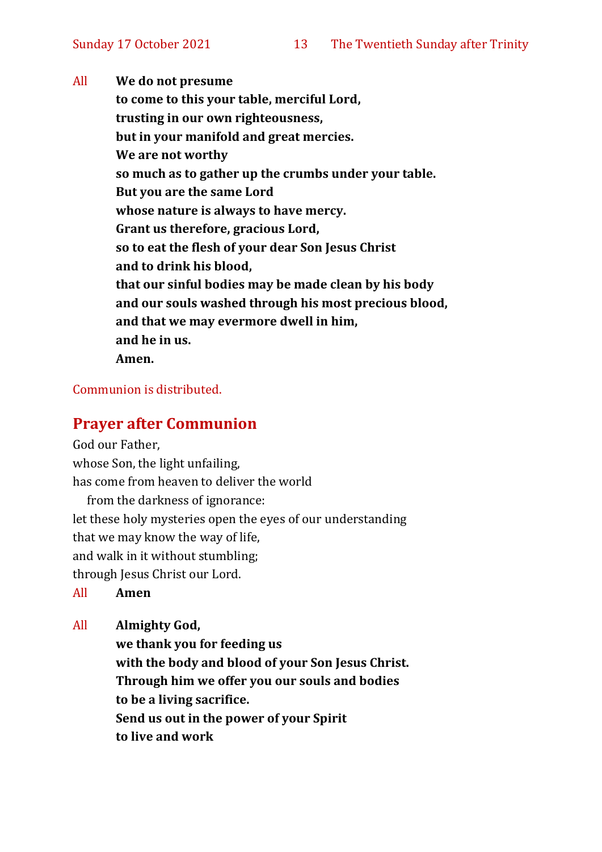All **We do not presume to come to this your table, merciful Lord, trusting in our own righteousness, but in your manifold and great mercies. We are not worthy so much as to gather up the crumbs under your table. But you are the same Lord whose nature is always to have mercy. Grant us therefore, gracious Lord, so to eat the flesh of your dear Son Jesus Christ and to drink his blood, that our sinful bodies may be made clean by his body and our souls washed through his most precious blood, and that we may evermore dwell in him, and he in us. Amen.**

#### Communion is distributed.

#### **Prayer after Communion**

God our Father, whose Son, the light unfailing, has come from heaven to deliver the world from the darkness of ignorance: let these holy mysteries open the eyes of our understanding that we may know the way of life, and walk in it without stumbling; through Jesus Christ our Lord.

All **Amen**

All **Almighty God,**

**we thank you for feeding us with the body and blood of your Son Jesus Christ. Through him we offer you our souls and bodies to be a living sacrifice. Send us out in the power of your Spirit to live and work**